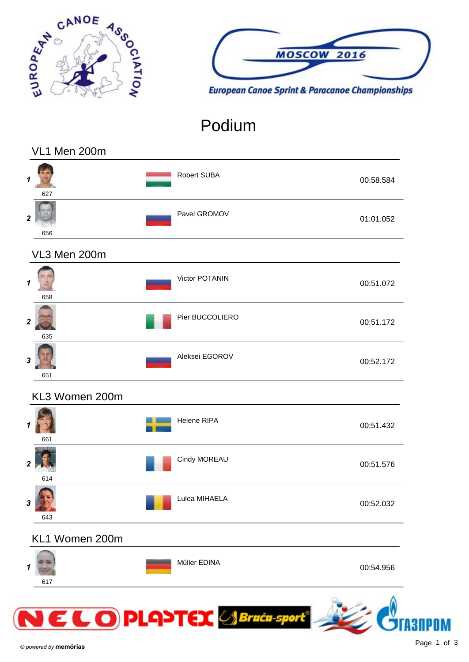



## Podium

#### VL1 Men 200m

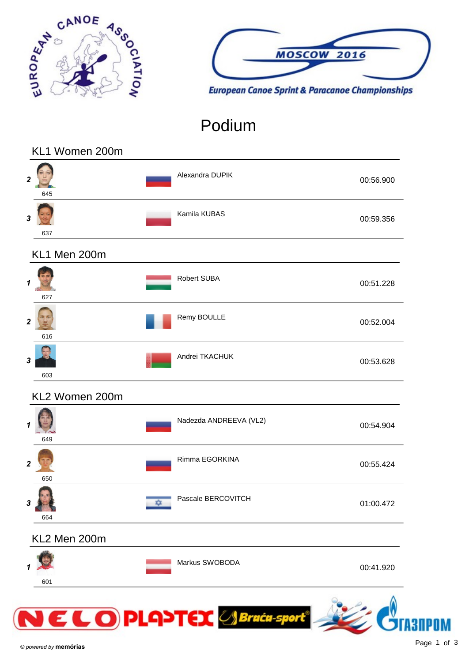



## Podium

#### KL1 Women 200m